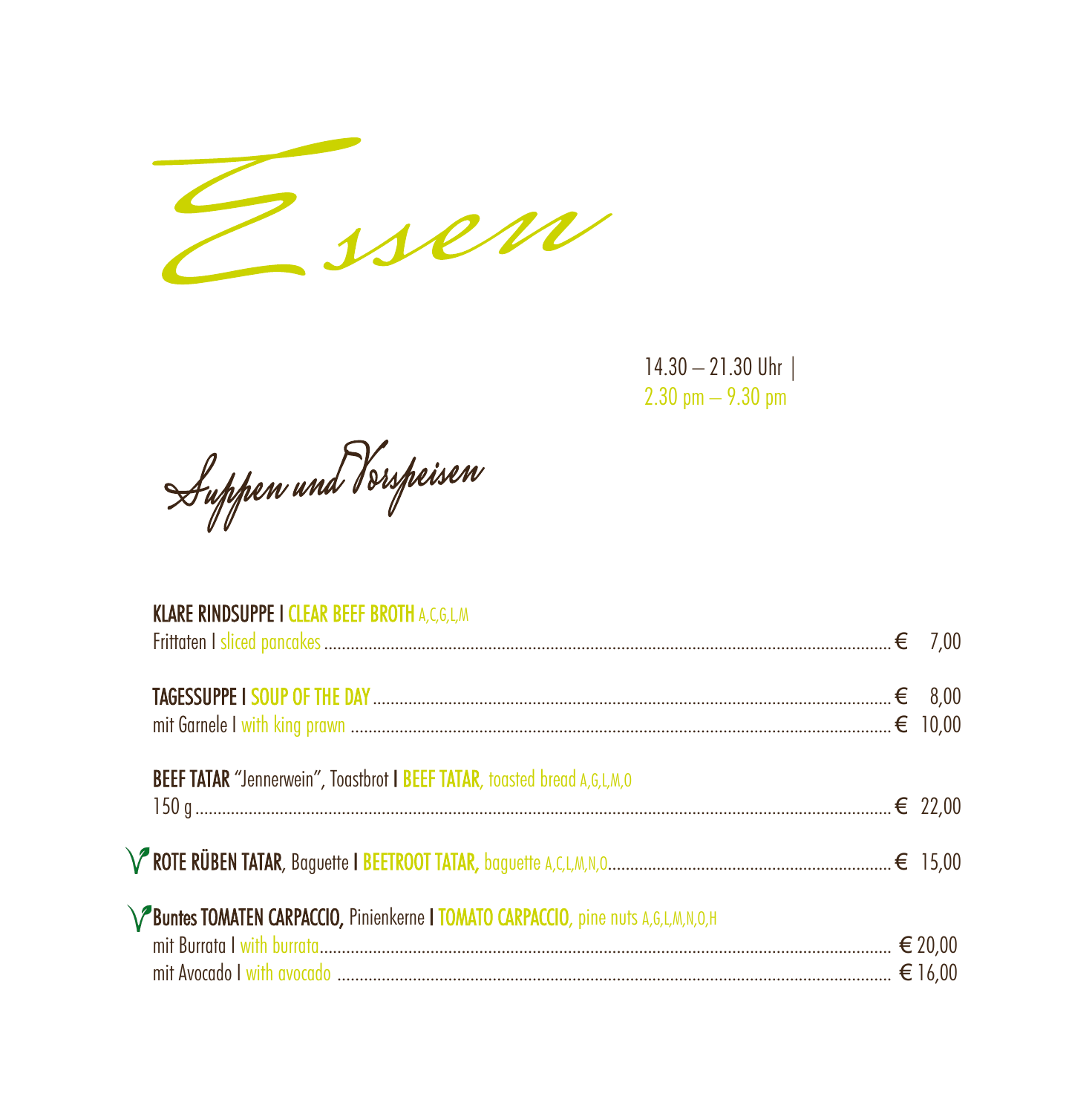

 $14.30 - 21.30$  Uhr |  $2.30 \text{ pm} - 9.30 \text{ pm}$ 

Suppen und Verspeisen

| <b>KLARE RINDSUPPE I CLEAR BEEF BROTH A,C,G,L,M</b>                                |  |
|------------------------------------------------------------------------------------|--|
|                                                                                    |  |
| BEEF TATAR "Jennerwein", Toastbrot   BEEF TATAR, toasted bread A,G,L,M,O           |  |
|                                                                                    |  |
| <b>TOMATEN CARPACCIO, Pinienkerne   TOMATO CARPACCIO</b> , pine nuts A,G,L,M,N,O,H |  |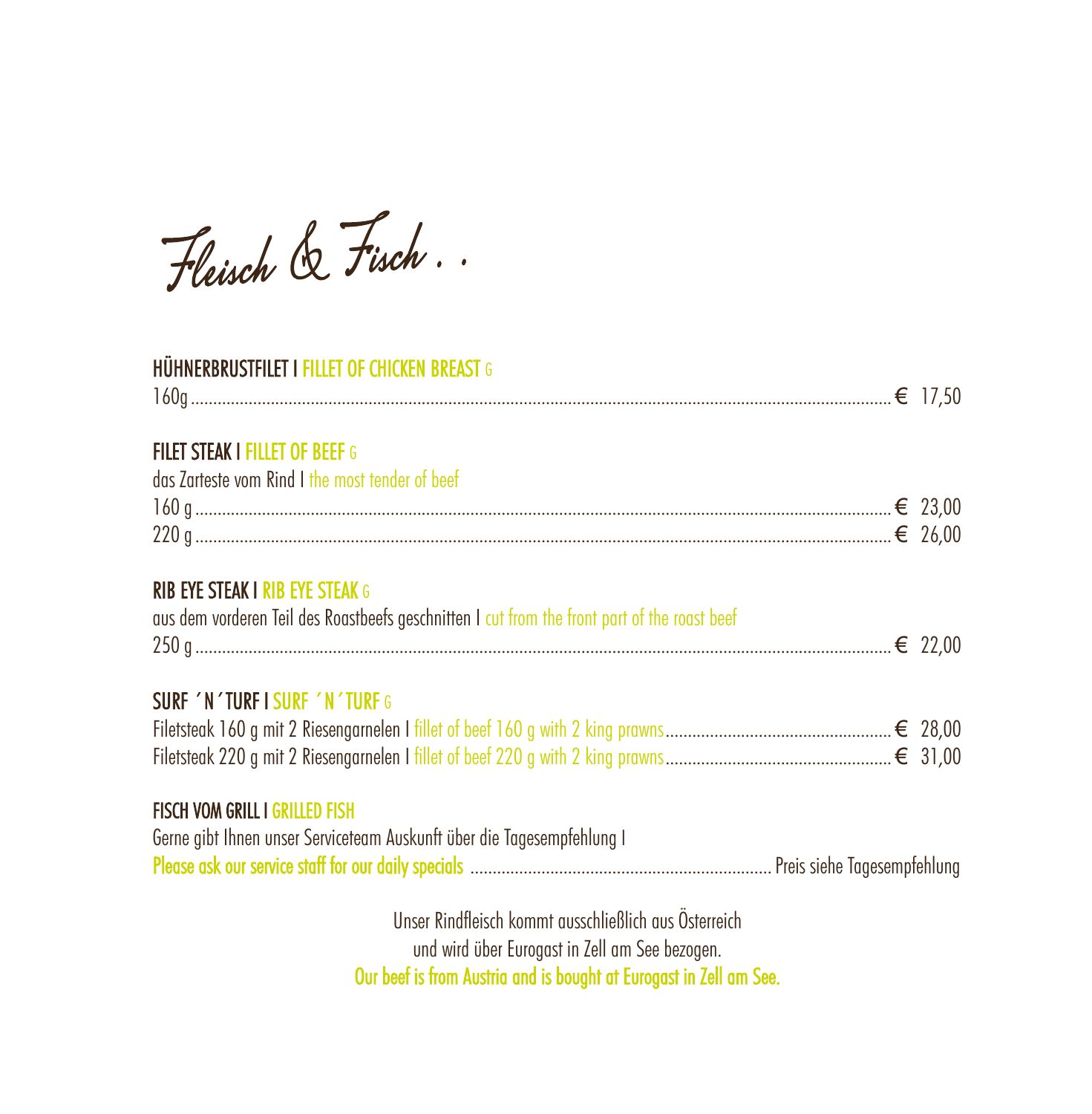Fleisch & Fisch.

### HÜHNERBRUSTFILET I FILLET OF CHICKEN BREAST G

| <b>FILET STEAK I FILLET OF BEEF G</b><br>das Zarteste vom Rind I the most tender of beef                                               |  |
|----------------------------------------------------------------------------------------------------------------------------------------|--|
| <b>RIB EYE STEAK I RIB EYE STEAK G</b><br>aus dem vorderen Teil des Roastbeefs geschnitten I cut from the front part of the roast beef |  |
| <b>SURF 'N'TURFISURF 'N'TURFG</b>                                                                                                      |  |
| <b>FISCH VOM GRILL I GRILLED FISH</b><br>Gerne gibt Ihnen unser Serviceteam Auskunft über die Tagesempfehlung I                        |  |
| Unser Rindfleisch kommt ausschließlich aus Osterreich<br>und wird über Eurogast in Zell am See bezogen.                                |  |

Our beef is from Austria and is bought at Eurogast in Zell am See.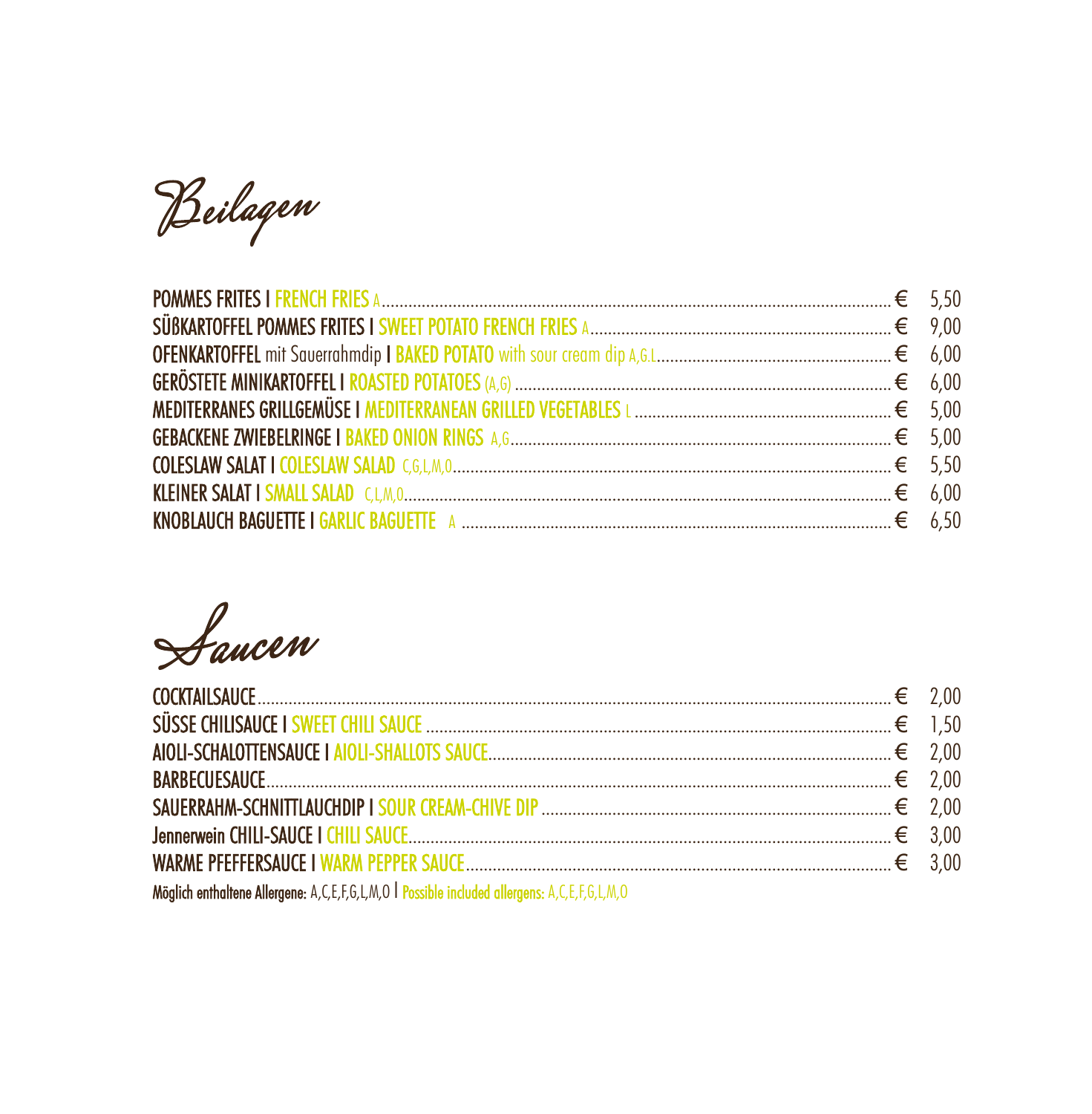Beilagen

Saucen

| $\text{BARBECUESAUCE} \qquad \qquad 2,00$                                                    |  |
|----------------------------------------------------------------------------------------------|--|
|                                                                                              |  |
|                                                                                              |  |
|                                                                                              |  |
| Möglich enthaltene Allergene: A,C,E,F,G,L,M,O   Possible included allergens: A,C,E,F,G,L,M,O |  |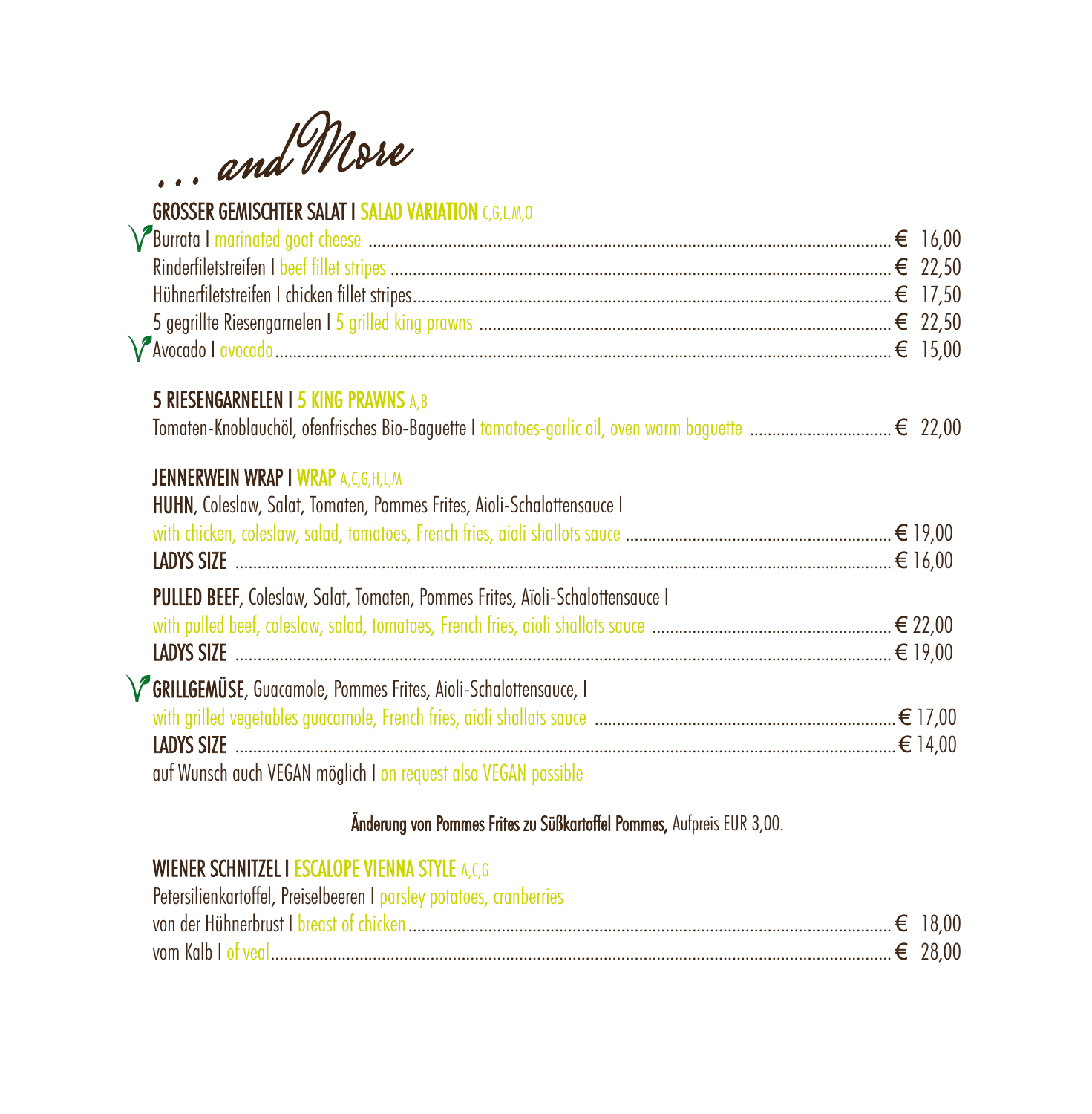... and More

## **GROSSER GEMISCHTER SALAT I SALAD VARIATION C,G,L,M,O**

| <b>5 RIESENGARNELEN I 5 KING PRAWNS A,B</b>                                                                                |  |
|----------------------------------------------------------------------------------------------------------------------------|--|
| <b>JENNERWEIN WRAP I WRAP A,C,G,H,L,M</b><br><b>HUHN, Coleslaw, Salat, Tomaten, Pommes Frites, Aioli-Schalottensauce I</b> |  |
| LADYS SIZE $\ldots$                                                                                                        |  |
| <b>PULLED BEEF, Coleslaw, Salat, Tomaten, Pommes Frites, Aïoli-Schalottensauce I</b>                                       |  |
|                                                                                                                            |  |
| LADYS SIZE $\ldots$                                                                                                        |  |
| V GRILLGEMÜSE, Guacamole, Pommes Frites, Aioli-Schalottensauce, I                                                          |  |
|                                                                                                                            |  |
|                                                                                                                            |  |
| auf Wunsch auch VEGAN möglich I on request also VEGAN possible                                                             |  |

### Änderung von Pommes Frites zu Süßkartoffel Pommes, Aufpreis EUR 3,00.

## **WIENER SCHNITZEL I ESCALOPE VIENNA STYLE A,C,G**

| Petersilienkartoffel, Preiselbeeren I parsley potatoes, cranberries |  |
|---------------------------------------------------------------------|--|
|                                                                     |  |
|                                                                     |  |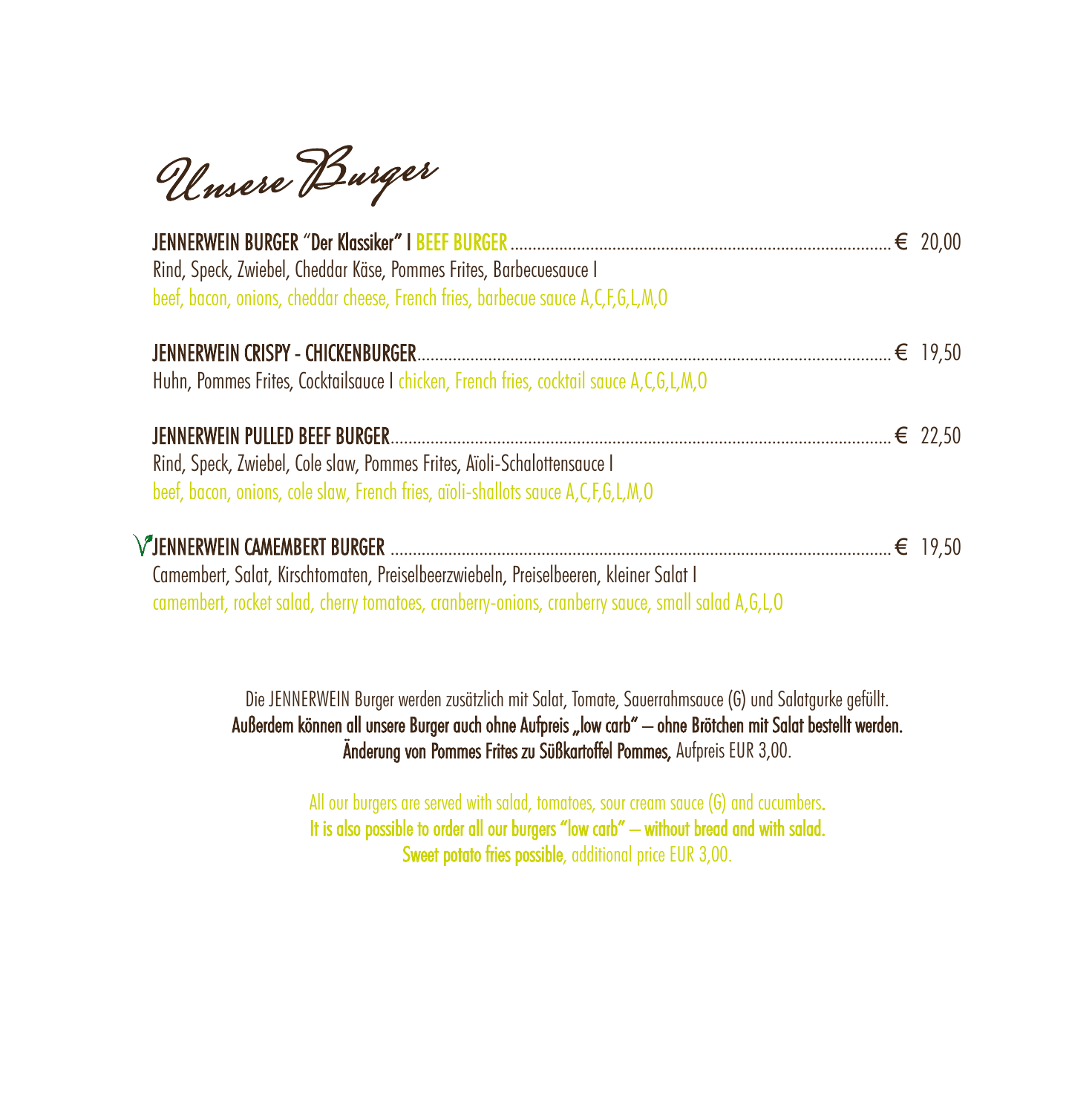Unsere Burger

| Rind, Speck, Zwiebel, Cheddar Käse, Pommes Frites, Barbecuesauce I<br>beef, bacon, onions, cheddar cheese, French fries, barbecue sauce A,C,F,G,L,M,O                                    |  |
|------------------------------------------------------------------------------------------------------------------------------------------------------------------------------------------|--|
|                                                                                                                                                                                          |  |
| Huhn, Pommes Frites, Cocktailsauce I chicken, French fries, cocktail sauce A,C,G,L,M,O                                                                                                   |  |
|                                                                                                                                                                                          |  |
| Rind, Speck, Zwiebel, Cole slaw, Pommes Frites, Aïoli-Schalottensauce I                                                                                                                  |  |
| beef, bacon, onions, cole slaw, French fries, aïoli-shallots sauce A, C, F, G, L, M, O                                                                                                   |  |
|                                                                                                                                                                                          |  |
| Camembert, Salat, Kirschtomaten, Preiselbeerzwiebeln, Preiselbeeren, kleiner Salat I<br>camembert, rocket salad, cherry tomatoes, cranberry-onions, cranberry sauce, small salad A,G,L,O |  |

Die JENNERWEIN Burger werden zusätzlich mit Salat, Tomate, Sauerrahmsauce (G) und Salatgurke gefüllt. Außerdem können all unsere Burger auch ohne Aufpreis "low carb" – ohne Brötchen mit Salat bestellt werden. Änderung von Pommes Frites zu Süßkartoffel Pommes, Aufpreis EUR 3,00.

> All our burgers are served with salad, tomatoes, sour cream sauce (G) and cucumbers. It is also possible to order all our burgers "low carb" – without bread and with salad. Sweet potato fries possible, additional price EUR 3,00.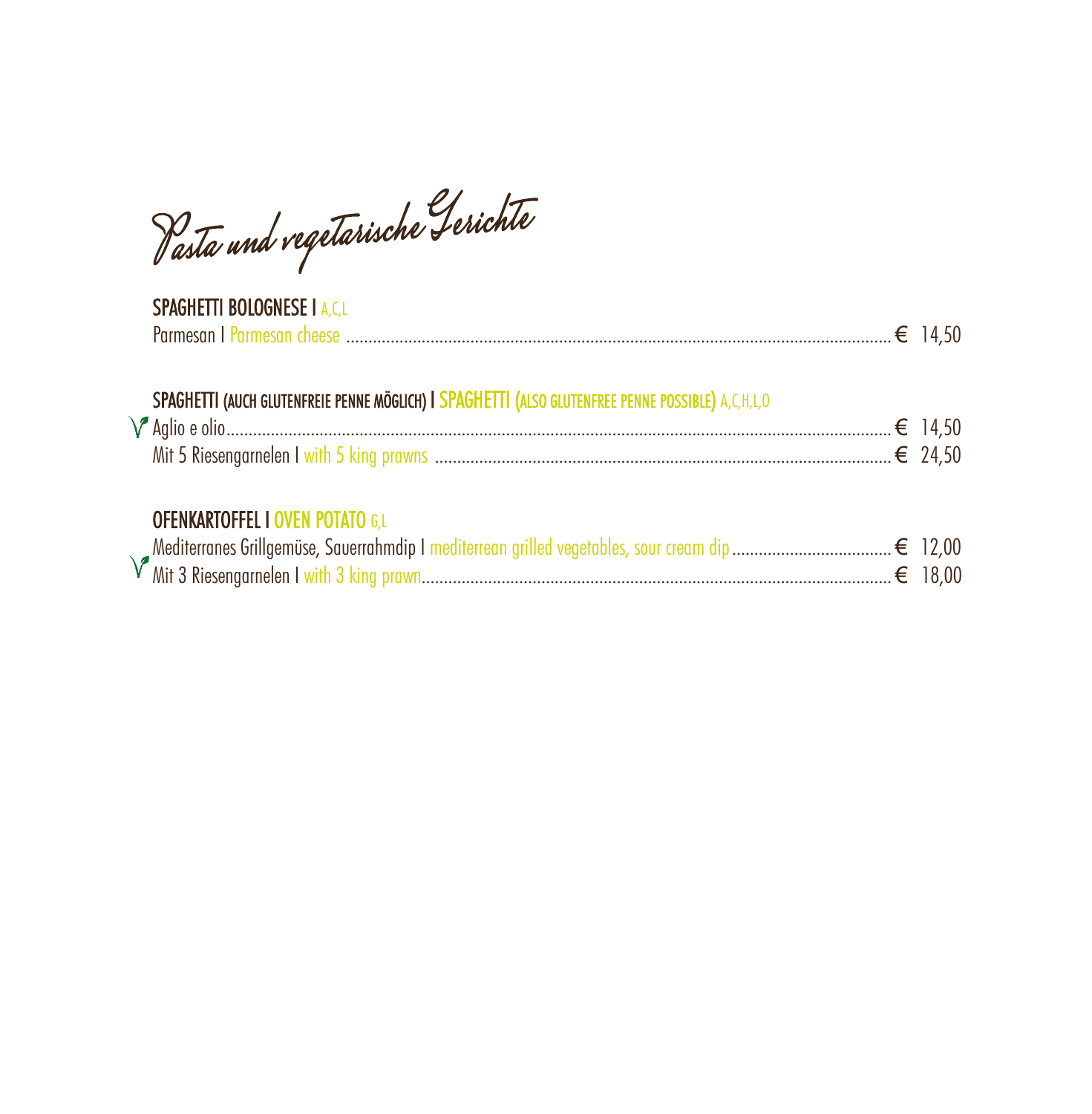Pasta und vegetarische Gerichte

# **SPAGHETTI BOLOGNESE I A,C,L**

# SPAGHETTI (AUCH GLUTENFREIE PENNE MÖGLICH) I SPAGHETTI (ALSO GLUTENFREE PENNE POSSIBLE) A,C,H,L,O

| Aglio e |                                           |  |  |
|---------|-------------------------------------------|--|--|
|         | Mit 5 Riesengarnelen I with 5 king prawre |  |  |

### **OFENKARTOFFEL I OVEN POTATO G,L**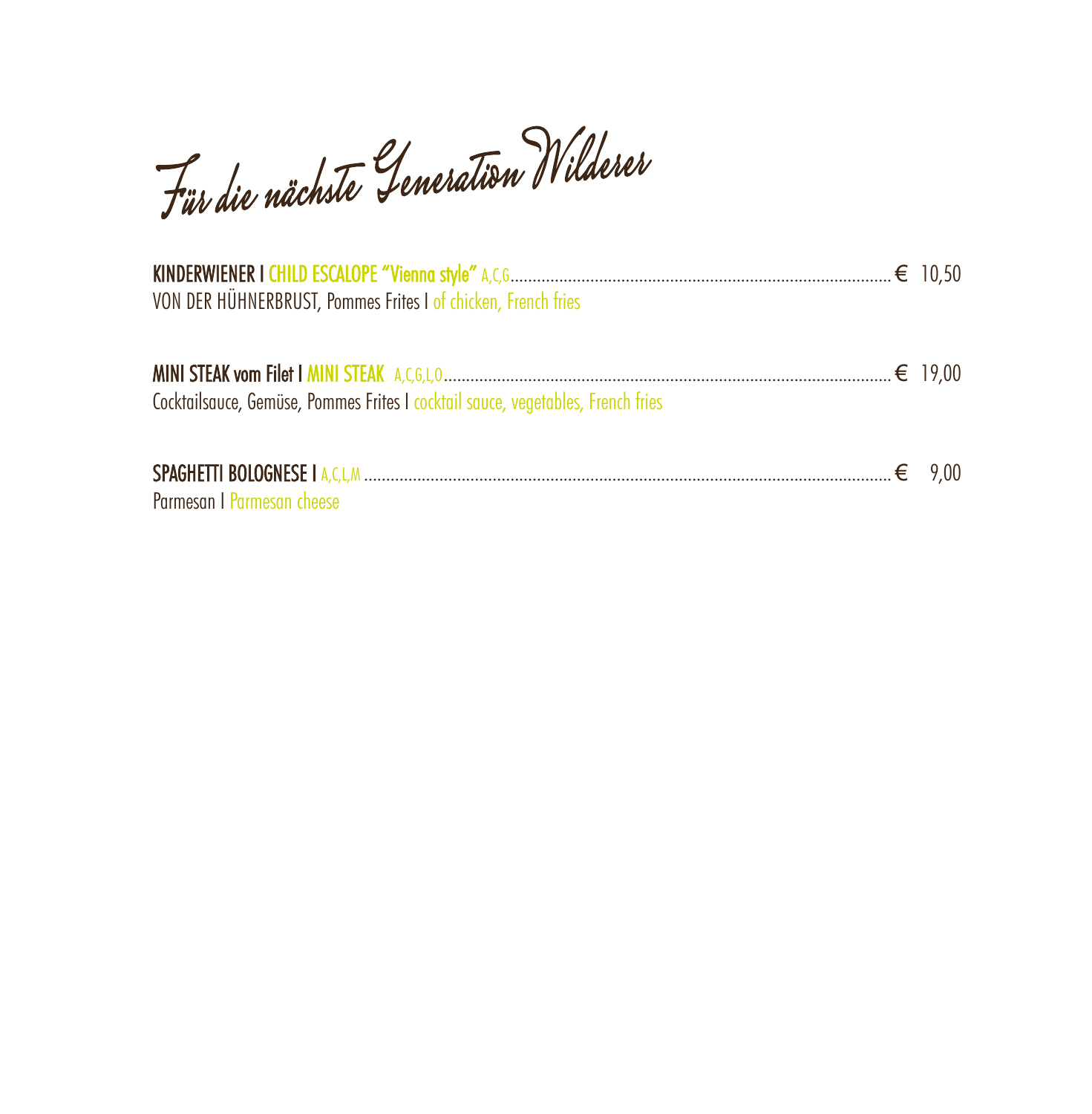Für die nächste Generation Wilderer

| VON DER HÜHNERBRUST, Pommes Frites I of chicken, French fries                   |  |
|---------------------------------------------------------------------------------|--|
| Cocktailsauce, Gemüse, Pommes Frites I cocktail sauce, vegetables, French fries |  |
| Parmesan I Parmesan cheese                                                      |  |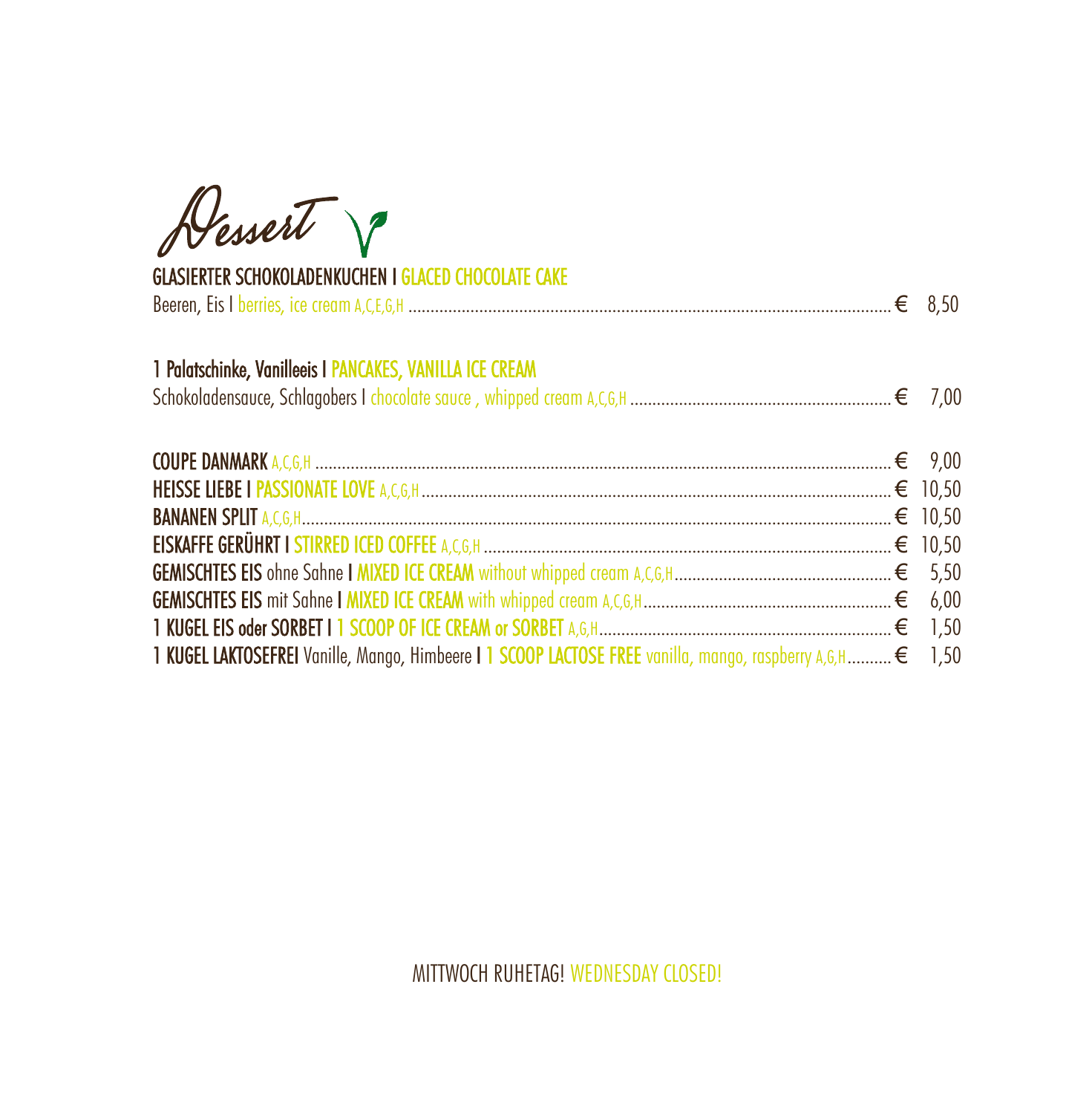Dessert 8

### **GLASIERTER SCHOKOLADENKUCHEN I GLACED CHOCOLATE CAKE**

| 1 Palatschinke, Vanilleeis I PANCAKES, VANILLA ICE CREAM<br>1,50 KUGEL LAKTOSEFREI Vanille, Mango, Himbeere   1 SCOOP LACTOSE FREE vanilla, mango, raspberry A, G, H € 1,50 |  |
|-----------------------------------------------------------------------------------------------------------------------------------------------------------------------------|--|
|                                                                                                                                                                             |  |
|                                                                                                                                                                             |  |
|                                                                                                                                                                             |  |
|                                                                                                                                                                             |  |
|                                                                                                                                                                             |  |
|                                                                                                                                                                             |  |
|                                                                                                                                                                             |  |
|                                                                                                                                                                             |  |
|                                                                                                                                                                             |  |

MITTWOCH RUHETAG! WEDNESDAY CLOSED!